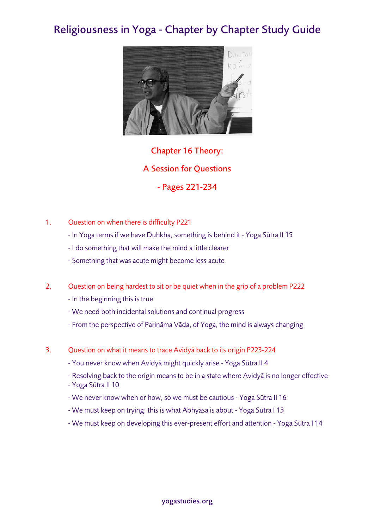## Religiousness in Yoga - Chapter by Chapter Study Guide



Chapter 16 Theory: A Session for Questions - Pages 221-234

- 1. Question on when there is difficulty P221
	- In Yoga terms if we have Duḥkha, something is behind it Yoga Sūtra II 15
	- I do something that will make the mind a little clearer
	- Something that was acute might become less acute
- 2. Question on being hardest to sit or be quiet when in the grip of a problem P222
	- In the beginning this is true
	- We need both incidental solutions and continual progress
	- From the perspective of Pariṇāma Vāda, of Yoga, the mind is always changing
- 3. Question on what it means to trace Avidyā back to its origin P223-224
	- You never know when Avidyā might quickly arise Yoga Sūtra II 4
	- Resolving back to the origin means to be in a state where Avidyā is no longer effective
	- Yoga Sūtra II 10
	- We never know when or how, so we must be cautious Yoga Sūtra II 16
	- We must keep on trying; this is what Abhyāsa is about Yoga Sūtra I 13
	- We must keep on developing this ever-present effort and attention Yoga Sūtra I 14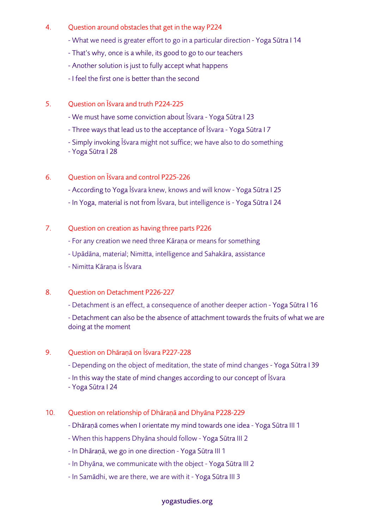- 4. Question around obstacles that get in the way P224
	- What we need is greater effort to go in a particular direction Yoga Sūtra I 14
	- That's why, once is a while, its good to go to our teachers
	- Another solution is just to fully accept what happens
	- I feel the first one is better than the second
- 5. Question on Īśvara and truth P224-225
	- We must have some conviction about Īśvara Yoga Sūtra I 23
	- Three ways that lead us to the acceptance of Īśvara Yoga Sūtra I 7
	- Simply invoking Īśvara might not suffice; we have also to do something
	- Yoga Sūtra I 28
- 6. Question on Īśvara and control P225-226
	- According to Yoga Īśvara knew, knows and will know Yoga Sūtra I 25
	- In Yoga, material is not from Īśvara, but intelligence is Yoga Sūtra I 24
- 7. Question on creation as having three parts P226
	- For any creation we need three Kāraṇa or means for something
	- Upādāna, material; Nimitta, intelligence and Sahakāra, assistance
	- Nimitta Kāraṇa is Īśvara

## 8. Ouestion on Detachment P226-227

- Detachment is an effect, a consequence of another deeper action - Yoga Sūtra I 16

- Detachment can also be the absence of attachment towards the fruits of what we are doing at the moment

## 9. Question on Dhāraṇā on Īśvara P227-228

- Depending on the object of meditation, the state of mind changes Yoga Sūtra I 39
- In this way the state of mind changes according to our concept of Īśvara
- Yoga Sūtra I 24
- 10. Question on relationship of Dhāraṇā and Dhyāna P228-229
	- Dhāraṇā comes when I orientate my mind towards one idea Yoga Sūtra III 1
	- When this happens Dhyāna should follow Yoga Sūtra III 2
	- In Dhāraṇā, we go in one direction Yoga Sūtra III 1
	- In Dhyāna, we communicate with the object Yoga Sūtra III 2
	- In Samādhi, we are there, we are with it Yoga Sūtra III 3

## yogastudies.org